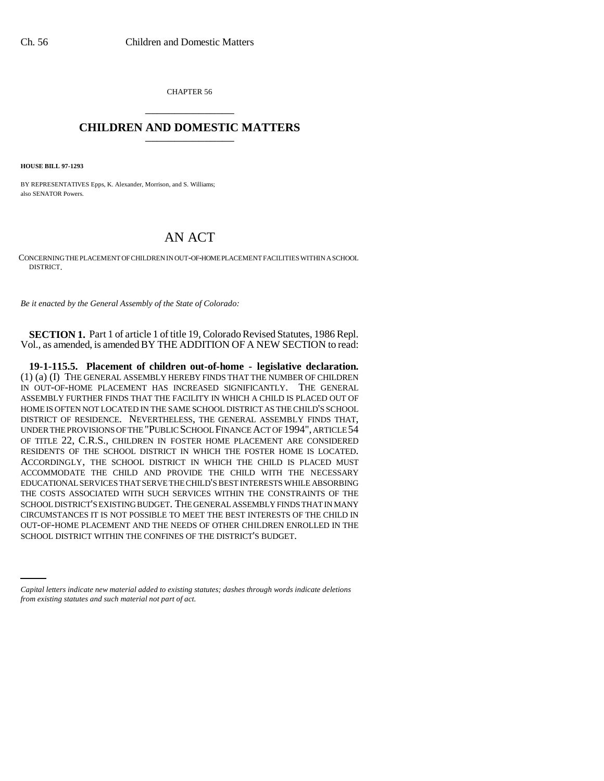CHAPTER 56 \_\_\_\_\_\_\_\_\_\_\_\_\_\_\_

## **CHILDREN AND DOMESTIC MATTERS** \_\_\_\_\_\_\_\_\_\_\_\_\_\_\_

**HOUSE BILL 97-1293**

BY REPRESENTATIVES Epps, K. Alexander, Morrison, and S. Williams; also SENATOR Powers.

## AN ACT

CONCERNING THE PLACEMENT OF CHILDREN IN OUT-OF-HOME PLACEMENT FACILITIES WITHIN A SCHOOL DISTRICT.

*Be it enacted by the General Assembly of the State of Colorado:*

**SECTION 1.** Part 1 of article 1 of title 19, Colorado Revised Statutes, 1986 Repl. Vol., as amended, is amended BY THE ADDITION OF A NEW SECTION to read:

OUT-OF-HOME PLACEMENT AND THE NEEDS OF OTHER CHILDREN ENROLLED IN THE **19-1-115.5. Placement of children out-of-home - legislative declaration.** (1) (a) (I) THE GENERAL ASSEMBLY HEREBY FINDS THAT THE NUMBER OF CHILDREN IN OUT-OF-HOME PLACEMENT HAS INCREASED SIGNIFICANTLY. THE GENERAL ASSEMBLY FURTHER FINDS THAT THE FACILITY IN WHICH A CHILD IS PLACED OUT OF HOME IS OFTEN NOT LOCATED IN THE SAME SCHOOL DISTRICT AS THE CHILD'S SCHOOL DISTRICT OF RESIDENCE. NEVERTHELESS, THE GENERAL ASSEMBLY FINDS THAT, UNDER THE PROVISIONS OF THE "PUBLIC SCHOOL FINANCE ACT OF 1994", ARTICLE 54 OF TITLE 22, C.R.S., CHILDREN IN FOSTER HOME PLACEMENT ARE CONSIDERED RESIDENTS OF THE SCHOOL DISTRICT IN WHICH THE FOSTER HOME IS LOCATED. ACCORDINGLY, THE SCHOOL DISTRICT IN WHICH THE CHILD IS PLACED MUST ACCOMMODATE THE CHILD AND PROVIDE THE CHILD WITH THE NECESSARY EDUCATIONAL SERVICES THAT SERVE THE CHILD'S BEST INTERESTS WHILE ABSORBING THE COSTS ASSOCIATED WITH SUCH SERVICES WITHIN THE CONSTRAINTS OF THE SCHOOL DISTRICT'S EXISTING BUDGET. THE GENERAL ASSEMBLY FINDS THAT IN MANY CIRCUMSTANCES IT IS NOT POSSIBLE TO MEET THE BEST INTERESTS OF THE CHILD IN SCHOOL DISTRICT WITHIN THE CONFINES OF THE DISTRICT'S BUDGET.

*Capital letters indicate new material added to existing statutes; dashes through words indicate deletions from existing statutes and such material not part of act.*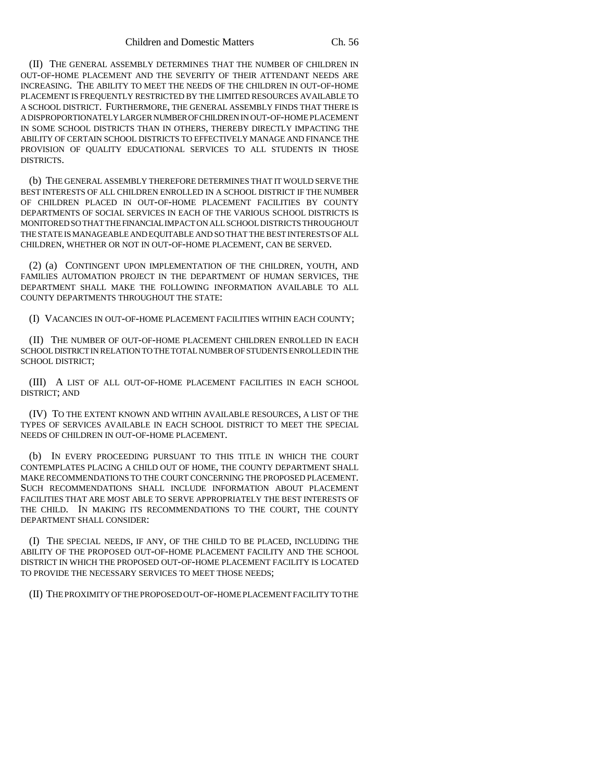(II) THE GENERAL ASSEMBLY DETERMINES THAT THE NUMBER OF CHILDREN IN OUT-OF-HOME PLACEMENT AND THE SEVERITY OF THEIR ATTENDANT NEEDS ARE INCREASING. THE ABILITY TO MEET THE NEEDS OF THE CHILDREN IN OUT-OF-HOME PLACEMENT IS FREQUENTLY RESTRICTED BY THE LIMITED RESOURCES AVAILABLE TO A SCHOOL DISTRICT. FURTHERMORE, THE GENERAL ASSEMBLY FINDS THAT THERE IS A DISPROPORTIONATELY LARGER NUMBER OF CHILDREN IN OUT-OF-HOME PLACEMENT IN SOME SCHOOL DISTRICTS THAN IN OTHERS, THEREBY DIRECTLY IMPACTING THE ABILITY OF CERTAIN SCHOOL DISTRICTS TO EFFECTIVELY MANAGE AND FINANCE THE PROVISION OF QUALITY EDUCATIONAL SERVICES TO ALL STUDENTS IN THOSE DISTRICTS.

(b) THE GENERAL ASSEMBLY THEREFORE DETERMINES THAT IT WOULD SERVE THE BEST INTERESTS OF ALL CHILDREN ENROLLED IN A SCHOOL DISTRICT IF THE NUMBER OF CHILDREN PLACED IN OUT-OF-HOME PLACEMENT FACILITIES BY COUNTY DEPARTMENTS OF SOCIAL SERVICES IN EACH OF THE VARIOUS SCHOOL DISTRICTS IS MONITORED SO THAT THE FINANCIAL IMPACT ON ALL SCHOOL DISTRICTS THROUGHOUT THE STATE IS MANAGEABLE AND EQUITABLE AND SO THAT THE BEST INTERESTS OF ALL CHILDREN, WHETHER OR NOT IN OUT-OF-HOME PLACEMENT, CAN BE SERVED.

(2) (a) CONTINGENT UPON IMPLEMENTATION OF THE CHILDREN, YOUTH, AND FAMILIES AUTOMATION PROJECT IN THE DEPARTMENT OF HUMAN SERVICES, THE DEPARTMENT SHALL MAKE THE FOLLOWING INFORMATION AVAILABLE TO ALL COUNTY DEPARTMENTS THROUGHOUT THE STATE:

(I) VACANCIES IN OUT-OF-HOME PLACEMENT FACILITIES WITHIN EACH COUNTY;

(II) THE NUMBER OF OUT-OF-HOME PLACEMENT CHILDREN ENROLLED IN EACH SCHOOL DISTRICT IN RELATION TO THE TOTAL NUMBER OF STUDENTS ENROLLED IN THE SCHOOL DISTRICT;

(III) A LIST OF ALL OUT-OF-HOME PLACEMENT FACILITIES IN EACH SCHOOL DISTRICT; AND

(IV) TO THE EXTENT KNOWN AND WITHIN AVAILABLE RESOURCES, A LIST OF THE TYPES OF SERVICES AVAILABLE IN EACH SCHOOL DISTRICT TO MEET THE SPECIAL NEEDS OF CHILDREN IN OUT-OF-HOME PLACEMENT.

(b) IN EVERY PROCEEDING PURSUANT TO THIS TITLE IN WHICH THE COURT CONTEMPLATES PLACING A CHILD OUT OF HOME, THE COUNTY DEPARTMENT SHALL MAKE RECOMMENDATIONS TO THE COURT CONCERNING THE PROPOSED PLACEMENT. SUCH RECOMMENDATIONS SHALL INCLUDE INFORMATION ABOUT PLACEMENT FACILITIES THAT ARE MOST ABLE TO SERVE APPROPRIATELY THE BEST INTERESTS OF THE CHILD. IN MAKING ITS RECOMMENDATIONS TO THE COURT, THE COUNTY DEPARTMENT SHALL CONSIDER:

(I) THE SPECIAL NEEDS, IF ANY, OF THE CHILD TO BE PLACED, INCLUDING THE ABILITY OF THE PROPOSED OUT-OF-HOME PLACEMENT FACILITY AND THE SCHOOL DISTRICT IN WHICH THE PROPOSED OUT-OF-HOME PLACEMENT FACILITY IS LOCATED TO PROVIDE THE NECESSARY SERVICES TO MEET THOSE NEEDS;

(II) THE PROXIMITY OF THE PROPOSED OUT-OF-HOME PLACEMENT FACILITY TO THE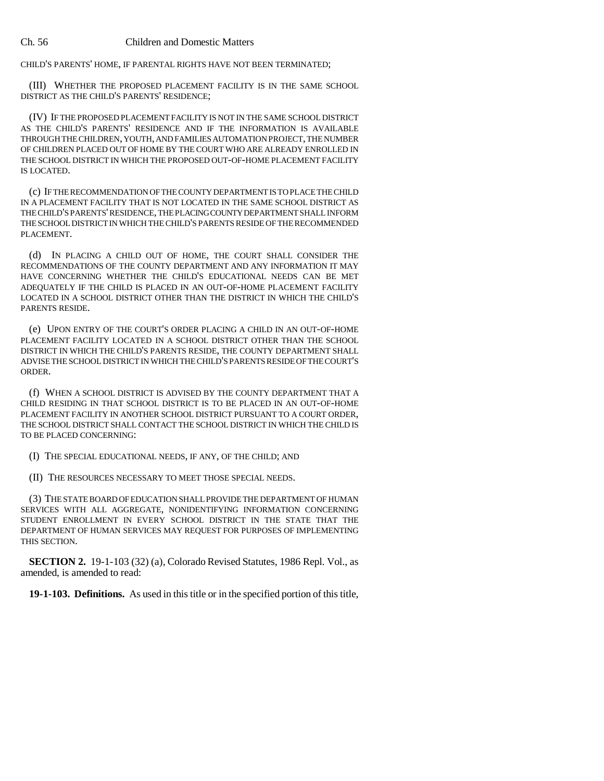CHILD'S PARENTS' HOME, IF PARENTAL RIGHTS HAVE NOT BEEN TERMINATED;

(III) WHETHER THE PROPOSED PLACEMENT FACILITY IS IN THE SAME SCHOOL DISTRICT AS THE CHILD'S PARENTS' RESIDENCE;

(IV) IF THE PROPOSED PLACEMENT FACILITY IS NOT IN THE SAME SCHOOL DISTRICT AS THE CHILD'S PARENTS' RESIDENCE AND IF THE INFORMATION IS AVAILABLE THROUGH THE CHILDREN, YOUTH, AND FAMILIES AUTOMATION PROJECT, THE NUMBER OF CHILDREN PLACED OUT OF HOME BY THE COURT WHO ARE ALREADY ENROLLED IN THE SCHOOL DISTRICT IN WHICH THE PROPOSED OUT-OF-HOME PLACEMENT FACILITY IS LOCATED.

(c) IF THE RECOMMENDATION OF THE COUNTY DEPARTMENT IS TO PLACE THE CHILD IN A PLACEMENT FACILITY THAT IS NOT LOCATED IN THE SAME SCHOOL DISTRICT AS THE CHILD'S PARENTS' RESIDENCE, THE PLACING COUNTY DEPARTMENT SHALL INFORM THE SCHOOL DISTRICT IN WHICH THE CHILD'S PARENTS RESIDE OF THE RECOMMENDED PLACEMENT.

(d) IN PLACING A CHILD OUT OF HOME, THE COURT SHALL CONSIDER THE RECOMMENDATIONS OF THE COUNTY DEPARTMENT AND ANY INFORMATION IT MAY HAVE CONCERNING WHETHER THE CHILD'S EDUCATIONAL NEEDS CAN BE MET ADEQUATELY IF THE CHILD IS PLACED IN AN OUT-OF-HOME PLACEMENT FACILITY LOCATED IN A SCHOOL DISTRICT OTHER THAN THE DISTRICT IN WHICH THE CHILD'S PARENTS RESIDE.

(e) UPON ENTRY OF THE COURT'S ORDER PLACING A CHILD IN AN OUT-OF-HOME PLACEMENT FACILITY LOCATED IN A SCHOOL DISTRICT OTHER THAN THE SCHOOL DISTRICT IN WHICH THE CHILD'S PARENTS RESIDE, THE COUNTY DEPARTMENT SHALL ADVISE THE SCHOOL DISTRICT IN WHICH THE CHILD'S PARENTS RESIDE OF THE COURT'S ORDER.

(f) WHEN A SCHOOL DISTRICT IS ADVISED BY THE COUNTY DEPARTMENT THAT A CHILD RESIDING IN THAT SCHOOL DISTRICT IS TO BE PLACED IN AN OUT-OF-HOME PLACEMENT FACILITY IN ANOTHER SCHOOL DISTRICT PURSUANT TO A COURT ORDER, THE SCHOOL DISTRICT SHALL CONTACT THE SCHOOL DISTRICT IN WHICH THE CHILD IS TO BE PLACED CONCERNING:

(I) THE SPECIAL EDUCATIONAL NEEDS, IF ANY, OF THE CHILD; AND

(II) THE RESOURCES NECESSARY TO MEET THOSE SPECIAL NEEDS.

(3) THE STATE BOARD OF EDUCATION SHALL PROVIDE THE DEPARTMENT OF HUMAN SERVICES WITH ALL AGGREGATE, NONIDENTIFYING INFORMATION CONCERNING STUDENT ENROLLMENT IN EVERY SCHOOL DISTRICT IN THE STATE THAT THE DEPARTMENT OF HUMAN SERVICES MAY REQUEST FOR PURPOSES OF IMPLEMENTING THIS SECTION.

**SECTION 2.** 19-1-103 (32) (a), Colorado Revised Statutes, 1986 Repl. Vol., as amended, is amended to read:

**19-1-103. Definitions.** As used in this title or in the specified portion of this title,